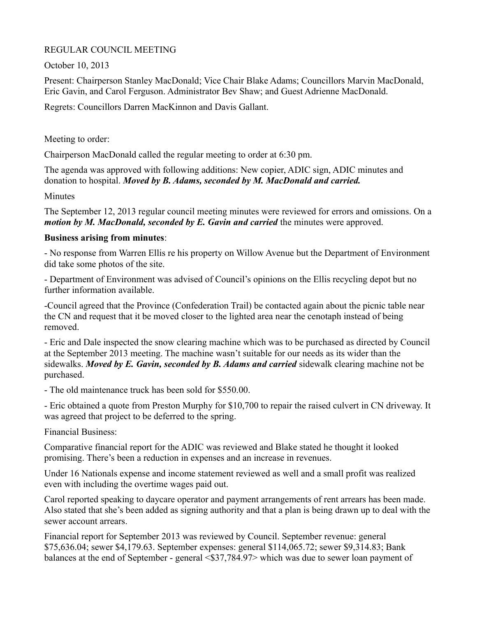# REGULAR COUNCIL MEETING

October 10, 2013

Present: Chairperson Stanley MacDonald; Vice Chair Blake Adams; Councillors Marvin MacDonald, Eric Gavin, and Carol Ferguson. Administrator Bev Shaw; and Guest Adrienne MacDonald.

Regrets: Councillors Darren MacKinnon and Davis Gallant.

Meeting to order:

Chairperson MacDonald called the regular meeting to order at 6:30 pm.

The agenda was approved with following additions: New copier, ADIC sign, ADIC minutes and donation to hospital. *Moved by B. Adams, seconded by M. MacDonald and carried.*

**Minutes** 

The September 12, 2013 regular council meeting minutes were reviewed for errors and omissions. On a *motion by M. MacDonald, seconded by E. Gavin and carried* the minutes were approved.

# **Business arising from minutes**:

- No response from Warren Ellis re his property on Willow Avenue but the Department of Environment did take some photos of the site.

- Department of Environment was advised of Council's opinions on the Ellis recycling depot but no further information available.

-Council agreed that the Province (Confederation Trail) be contacted again about the picnic table near the CN and request that it be moved closer to the lighted area near the cenotaph instead of being removed.

- Eric and Dale inspected the snow clearing machine which was to be purchased as directed by Council at the September 2013 meeting. The machine wasn't suitable for our needs as its wider than the sidewalks. *Moved by E. Gavin, seconded by B. Adams and carried* sidewalk clearing machine not be purchased.

- The old maintenance truck has been sold for \$550.00.

- Eric obtained a quote from Preston Murphy for \$10,700 to repair the raised culvert in CN driveway. It was agreed that project to be deferred to the spring.

Financial Business:

Comparative financial report for the ADIC was reviewed and Blake stated he thought it looked promising. There's been a reduction in expenses and an increase in revenues.

Under 16 Nationals expense and income statement reviewed as well and a small profit was realized even with including the overtime wages paid out.

Carol reported speaking to daycare operator and payment arrangements of rent arrears has been made. Also stated that she's been added as signing authority and that a plan is being drawn up to deal with the sewer account arrears.

Financial report for September 2013 was reviewed by Council. September revenue: general \$75,636.04; sewer \$4,179.63. September expenses: general \$114,065.72; sewer \$9,314.83; Bank balances at the end of September - general <\$37,784.97> which was due to sewer loan payment of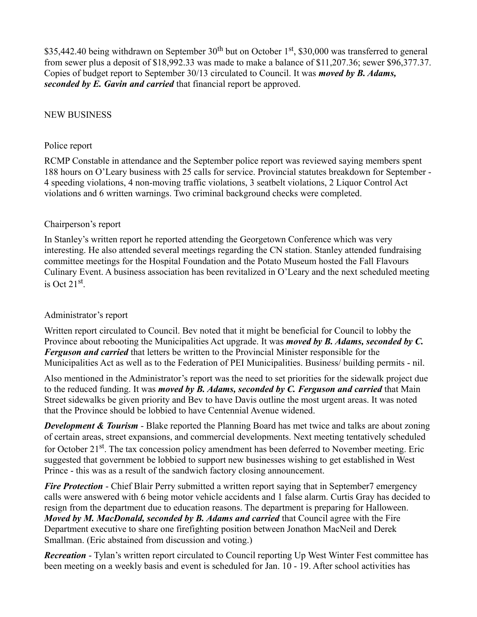\$35,442.40 being withdrawn on September  $30<sup>th</sup>$  but on October 1<sup>st</sup>, \$30,000 was transferred to general from sewer plus a deposit of \$18,992.33 was made to make a balance of \$11,207.36; sewer \$96,377.37. Copies of budget report to September 30/13 circulated to Council. It was *moved by B. Adams, seconded by E. Gavin and carried* that financial report be approved.

#### NEW BUSINESS

#### Police report

RCMP Constable in attendance and the September police report was reviewed saying members spent 188 hours on O'Leary business with 25 calls for service. Provincial statutes breakdown for September - 4 speeding violations, 4 non-moving traffic violations, 3 seatbelt violations, 2 Liquor Control Act violations and 6 written warnings. Two criminal background checks were completed.

#### Chairperson's report

In Stanley's written report he reported attending the Georgetown Conference which was very interesting. He also attended several meetings regarding the CN station. Stanley attended fundraising committee meetings for the Hospital Foundation and the Potato Museum hosted the Fall Flavours Culinary Event. A business association has been revitalized in O'Leary and the next scheduled meeting is Oct  $21<sup>st</sup>$ .

### Administrator's report

Written report circulated to Council. Bev noted that it might be beneficial for Council to lobby the Province about rebooting the Municipalities Act upgrade. It was *moved by B. Adams, seconded by C. Ferguson and carried* that letters be written to the Provincial Minister responsible for the Municipalities Act as well as to the Federation of PEI Municipalities. Business/ building permits - nil.

Also mentioned in the Administrator's report was the need to set priorities for the sidewalk project due to the reduced funding. It was *moved by B. Adams, seconded by C. Ferguson and carried* that Main Street sidewalks be given priority and Bev to have Davis outline the most urgent areas. It was noted that the Province should be lobbied to have Centennial Avenue widened.

*Development & Tourism* - Blake reported the Planning Board has met twice and talks are about zoning of certain areas, street expansions, and commercial developments. Next meeting tentatively scheduled for October 21<sup>st</sup>. The tax concession policy amendment has been deferred to November meeting. Eric suggested that government be lobbied to support new businesses wishing to get established in West Prince - this was as a result of the sandwich factory closing announcement.

*Fire Protection* - Chief Blair Perry submitted a written report saying that in September 7 emergency calls were answered with 6 being motor vehicle accidents and 1 false alarm. Curtis Gray has decided to resign from the department due to education reasons. The department is preparing for Halloween. *Moved by M. MacDonald, seconded by B. Adams and carried that Council agree with the Fire* Department executive to share one firefighting position between Jonathon MacNeil and Derek Smallman. (Eric abstained from discussion and voting.)

*Recreation* - Tylan's written report circulated to Council reporting Up West Winter Fest committee has been meeting on a weekly basis and event is scheduled for Jan. 10 - 19. After school activities has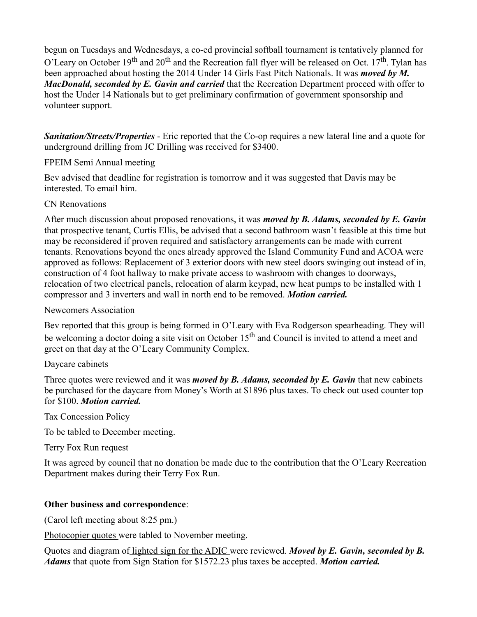begun on Tuesdays and Wednesdays, a co-ed provincial softball tournament is tentatively planned for O'Leary on October 19<sup>th</sup> and 20<sup>th</sup> and the Recreation fall flyer will be released on Oct. 17<sup>th</sup>. Tylan has been approached about hosting the 2014 Under 14 Girls Fast Pitch Nationals. It was *moved by M. MacDonald, seconded by E. Gavin and carried* that the Recreation Department proceed with offer to host the Under 14 Nationals but to get preliminary confirmation of government sponsorship and volunteer support.

*Sanitation/Streets/Properties* - Eric reported that the Co-op requires a new lateral line and a quote for underground drilling from JC Drilling was received for \$3400.

### FPEIM Semi Annual meeting

Bev advised that deadline for registration is tomorrow and it was suggested that Davis may be interested. To email him.

# CN Renovations

After much discussion about proposed renovations, it was *moved by B. Adams, seconded by E. Gavin* that prospective tenant, Curtis Ellis, be advised that a second bathroom wasn't feasible at this time but may be reconsidered if proven required and satisfactory arrangements can be made with current tenants. Renovations beyond the ones already approved the Island Community Fund and ACOA were approved as follows: Replacement of 3 exterior doors with new steel doors swinging out instead of in, construction of 4 foot hallway to make private access to washroom with changes to doorways, relocation of two electrical panels, relocation of alarm keypad, new heat pumps to be installed with 1 compressor and 3 inverters and wall in north end to be removed. *Motion carried.*

## Newcomers Association

Bev reported that this group is being formed in O'Leary with Eva Rodgerson spearheading. They will be welcoming a doctor doing a site visit on October  $15<sup>th</sup>$  and Council is invited to attend a meet and greet on that day at the O'Leary Community Complex.

# Daycare cabinets

Three quotes were reviewed and it was *moved by B. Adams, seconded by E. Gavin* that new cabinets be purchased for the daycare from Money's Worth at \$1896 plus taxes. To check out used counter top for \$100. *Motion carried.*

Tax Concession Policy

To be tabled to December meeting.

Terry Fox Run request

It was agreed by council that no donation be made due to the contribution that the O'Leary Recreation Department makes during their Terry Fox Run.

# **Other business and correspondence**:

(Carol left meeting about 8:25 pm.)

Photocopier quotes were tabled to November meeting.

Quotes and diagram of lighted sign for the ADIC were reviewed. *Moved by E. Gavin, seconded by B. Adams* that quote from Sign Station for \$1572.23 plus taxes be accepted. *Motion carried.*